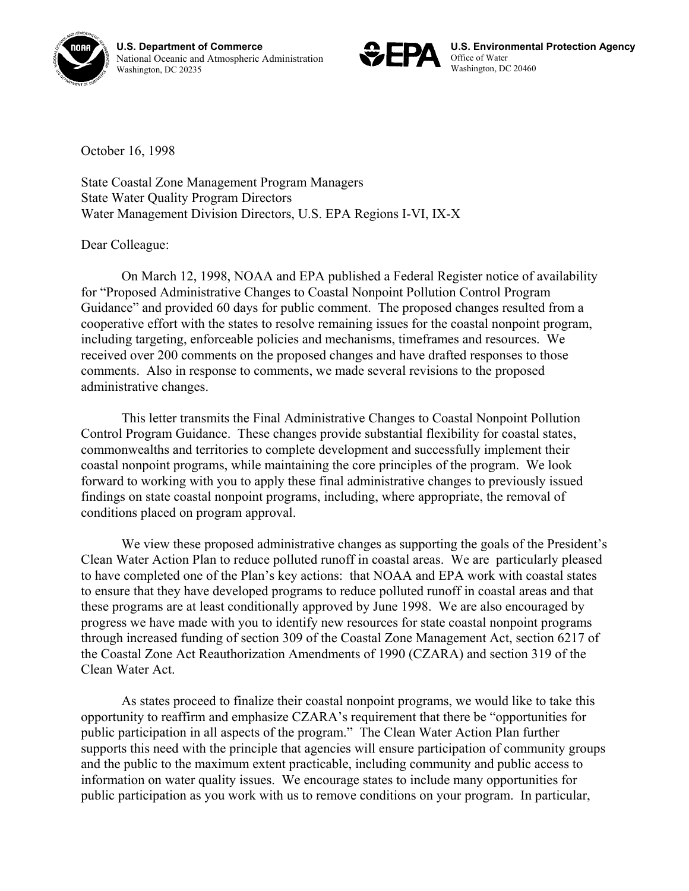

**U.S. Department of Commerce**  National Oceanic and Atmospheric Administration Washington, DC 20235



October 16, 1998

State Coastal Zone Management Program Managers State Water Quality Program Directors Water Management Division Directors, U.S. EPA Regions I-VI, IX-X

Dear Colleague:

On March 12, 1998, NOAA and EPA published a Federal Register notice of availability for "Proposed Administrative Changes to Coastal Nonpoint Pollution Control Program Guidance" and provided 60 days for public comment. The proposed changes resulted from a cooperative effort with the states to resolve remaining issues for the coastal nonpoint program, including targeting, enforceable policies and mechanisms, timeframes and resources. We received over 200 comments on the proposed changes and have drafted responses to those comments. Also in response to comments, we made several revisions to the proposed administrative changes.

This letter transmits the Final Administrative Changes to Coastal Nonpoint Pollution Control Program Guidance. These changes provide substantial flexibility for coastal states, commonwealths and territories to complete development and successfully implement their coastal nonpoint programs, while maintaining the core principles of the program. We look forward to working with you to apply these final administrative changes to previously issued findings on state coastal nonpoint programs, including, where appropriate, the removal of conditions placed on program approval.

We view these proposed administrative changes as supporting the goals of the President's Clean Water Action Plan to reduce polluted runoff in coastal areas. We are particularly pleased to have completed one of the Plan's key actions: that NOAA and EPA work with coastal states to ensure that they have developed programs to reduce polluted runoff in coastal areas and that these programs are at least conditionally approved by June 1998. We are also encouraged by progress we have made with you to identify new resources for state coastal nonpoint programs through increased funding of section 309 of the Coastal Zone Management Act, section 6217 of the Coastal Zone Act Reauthorization Amendments of 1990 (CZARA) and section 319 of the Clean Water Act.

As states proceed to finalize their coastal nonpoint programs, we would like to take this opportunity to reaffirm and emphasize CZARA's requirement that there be "opportunities for public participation in all aspects of the program." The Clean Water Action Plan further supports this need with the principle that agencies will ensure participation of community groups and the public to the maximum extent practicable, including community and public access to information on water quality issues. We encourage states to include many opportunities for public participation as you work with us to remove conditions on your program. In particular,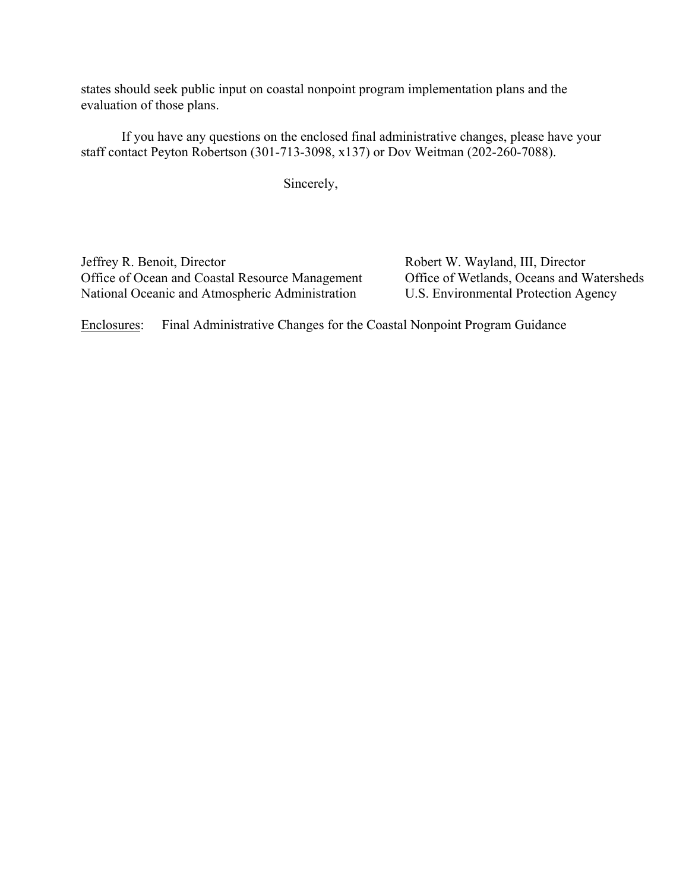states should seek public input on coastal nonpoint program implementation plans and the evaluation of those plans.

If you have any questions on the enclosed final administrative changes, please have your staff contact Peyton Robertson (301-713-3098, x137) or Dov Weitman (202-260-7088).

Sincerely,

Jeffrey R. Benoit, Director Robert W. Wayland, III, Director Chice of Ocean and Coastal Resource Management Office of Wetlands, Oceans and Watersheds Office of Ocean and Coastal Resource Management Office of Wetlands, Oceans and Waters<br>National Oceanic and Atmospheric Administration U.S. Environmental Protection Agency National Oceanic and Atmospheric Administration

Enclosures: Final Administrative Changes for the Coastal Nonpoint Program Guidance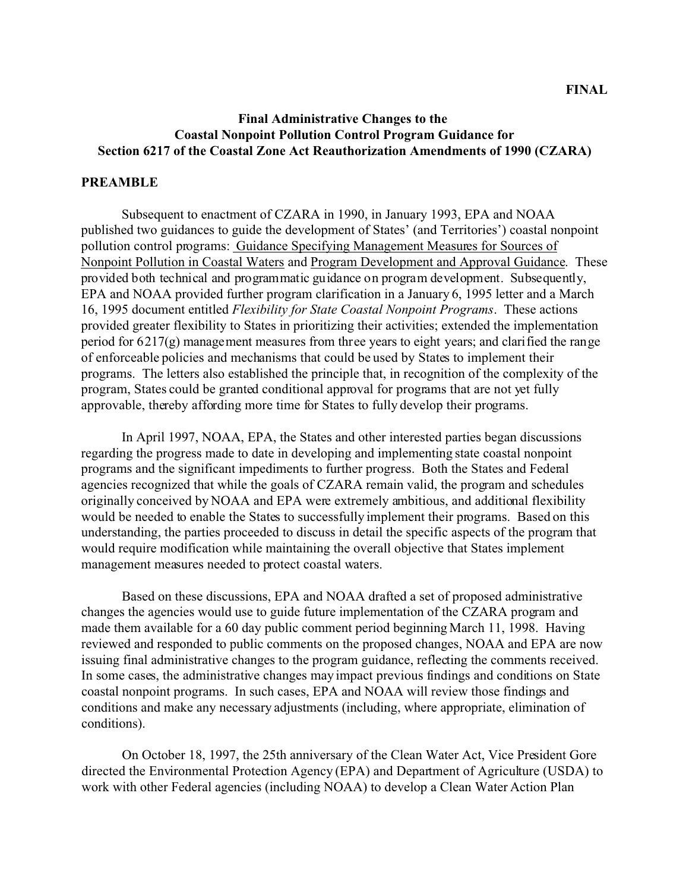# **Final Administrative Changes to the Coastal Nonpoint Pollution Control Program Guidance for Section 6217 of the Coastal Zone Act Reauthorization Amendments of 1990 (CZARA)**

#### **PREAMBLE**

Subsequent to enactment of CZARA in 1990, in January 1993, EPA and NOAA published two guidances to guide the development of States' (and Territories') coastal nonpoint pollution control programs: Guidance Specifying Management Measures for Sources of Nonpoint Pollution in Coastal Waters and Program Development and Approval Guidance. These provided both technical and programmatic guidance on program development. Subsequently, EPA and NOAA provided further program clarification in a January 6, 1995 letter and a March 16, 1995 document entitled *Flexibility for State Coastal Nonpoint Programs*. These actions provided greater flexibility to States in prioritizing their activities; extended the implementation period for  $6217(g)$  management measures from three years to eight years; and clarified the range of enforceable policies and mechanisms that could be used by States to implement their programs. The letters also established the principle that, in recognition of the complexity of the program, States could be granted conditional approval for programs that are not yet fully approvable, thereby affording more time for States to fully develop their programs.

In April 1997, NOAA, EPA, the States and other interested parties began discussions regarding the progress made to date in developing and implementing state coastal nonpoint programs and the significant impediments to further progress. Both the States and Federal agencies recognized that while the goals of CZARA remain valid, the program and schedules originally conceived by NOAA and EPA were extremely ambitious, and additional flexibility would be needed to enable the States to successfully implement their programs. Based on this understanding, the parties proceeded to discuss in detail the specific aspects of the program that would require modification while maintaining the overall objective that States implement management measures needed to protect coastal waters.

Based on these discussions, EPA and NOAA drafted a set of proposed administrative changes the agencies would use to guide future implementation of the CZARA program and made them available for a 60 day public comment period beginning March 11, 1998. Having reviewed and responded to public comments on the proposed changes, NOAA and EPA are now issuing final administrative changes to the program guidance, reflecting the comments received. In some cases, the administrative changes may impact previous findings and conditions on State coastal nonpoint programs. In such cases, EPA and NOAA will review those findings and conditions and make any necessary adjustments (including, where appropriate, elimination of conditions).

On October 18, 1997, the 25th anniversary of the Clean Water Act, Vice President Gore directed the Environmental Protection Agency (EPA) and Department of Agriculture (USDA) to work with other Federal agencies (including NOAA) to develop a Clean Water Action Plan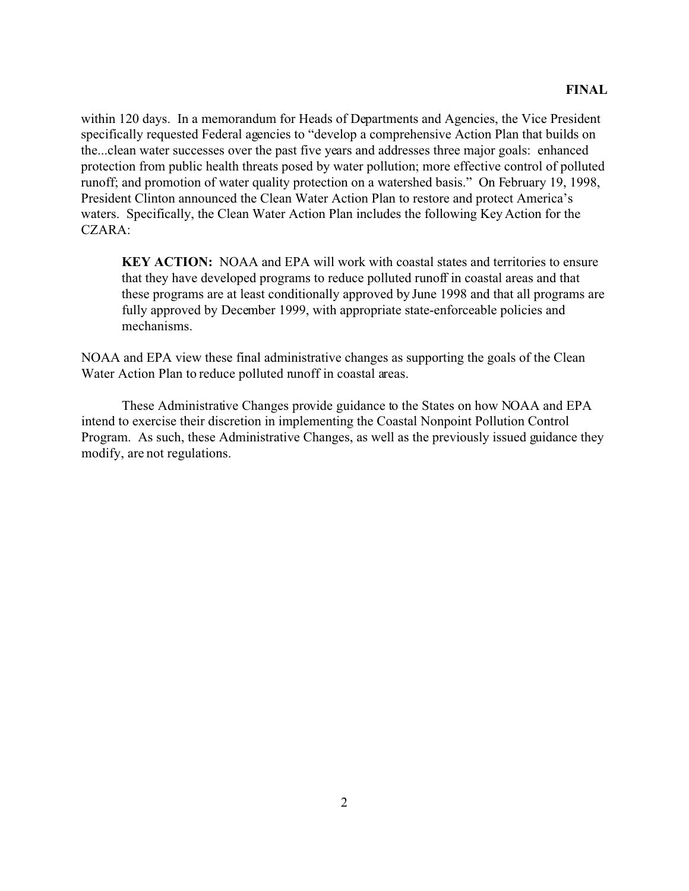within 120 days. In a memorandum for Heads of Departments and Agencies, the Vice President specifically requested Federal agencies to "develop a comprehensive Action Plan that builds on the...clean water successes over the past five years and addresses three major goals: enhanced protection from public health threats posed by water pollution; more effective control of polluted runoff; and promotion of water quality protection on a watershed basis." On February 19, 1998, President Clinton announced the Clean Water Action Plan to restore and protect America's waters. Specifically, the Clean Water Action Plan includes the following Key Action for the CZARA:

**KEY ACTION:** NOAA and EPA will work with coastal states and territories to ensure that they have developed programs to reduce polluted runoff in coastal areas and that these programs are at least conditionally approved by June 1998 and that all programs are fully approved by December 1999, with appropriate state-enforceable policies and mechanisms.

NOAA and EPA view these final administrative changes as supporting the goals of the Clean Water Action Plan to reduce polluted runoff in coastal areas.

These Administrative Changes provide guidance to the States on how NOAA and EPA intend to exercise their discretion in implementing the Coastal Nonpoint Pollution Control Program. As such, these Administrative Changes, as well as the previously issued guidance they modify, are not regulations.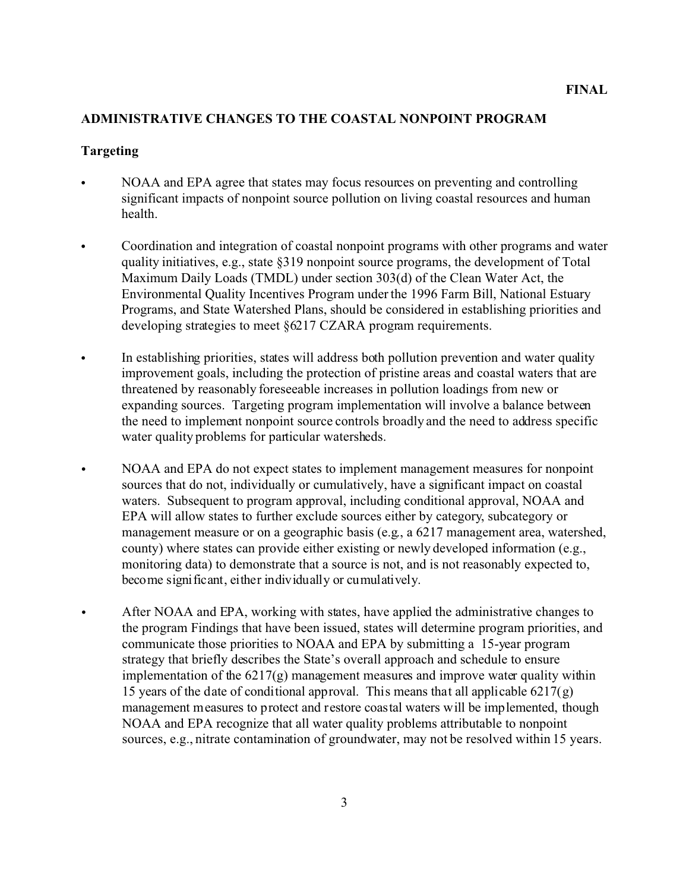## **ADMINISTRATIVE CHANGES TO THE COASTAL NONPOINT PROGRAM**

#### **Targeting**

- NOAA and EPA agree that states may focus resources on preventing and controlling significant impacts of nonpoint source pollution on living coastal resources and human health.
- Coordination and integration of coastal nonpoint programs with other programs and water quality initiatives, e.g., state §319 nonpoint source programs, the development of Total Maximum Daily Loads (TMDL) under section 303(d) of the Clean Water Act, the Environmental Quality Incentives Program under the 1996 Farm Bill, National Estuary Programs, and State Watershed Plans, should be considered in establishing priorities and developing strategies to meet §6217 CZARA program requirements.
- In establishing priorities, states will address both pollution prevention and water quality improvement goals, including the protection of pristine areas and coastal waters that are threatened by reasonably foreseeable increases in pollution loadings from new or expanding sources. Targeting program implementation will involve a balance between the need to implement nonpoint source controls broadly and the need to address specific water quality problems for particular watersheds.
- NOAA and EPA do not expect states to implement management measures for nonpoint sources that do not, individually or cumulatively, have a significant impact on coastal waters. Subsequent to program approval, including conditional approval, NOAA and EPA will allow states to further exclude sources either by category, subcategory or management measure or on a geographic basis (e.g., a 6217 management area, watershed, county) where states can provide either existing or newly developed information (e.g., monitoring data) to demonstrate that a source is not, and is not reasonably expected to, become significant, either individually or cumulatively.
- After NOAA and EPA, working with states, have applied the administrative changes to the program Findings that have been issued, states will determine program priorities, and communicate those priorities to NOAA and EPA by submitting a 15-year program strategy that briefly describes the State's overall approach and schedule to ensure implementation of the  $6217(g)$  management measures and improve water quality within 15 years of the date of conditional approval. This means that all applicable  $6217(g)$ management measures to protect and restore coastal waters will be implemented, though NOAA and EPA recognize that all water quality problems attributable to nonpoint sources, e.g., nitrate contamination of groundwater, may not be resolved within 15 years.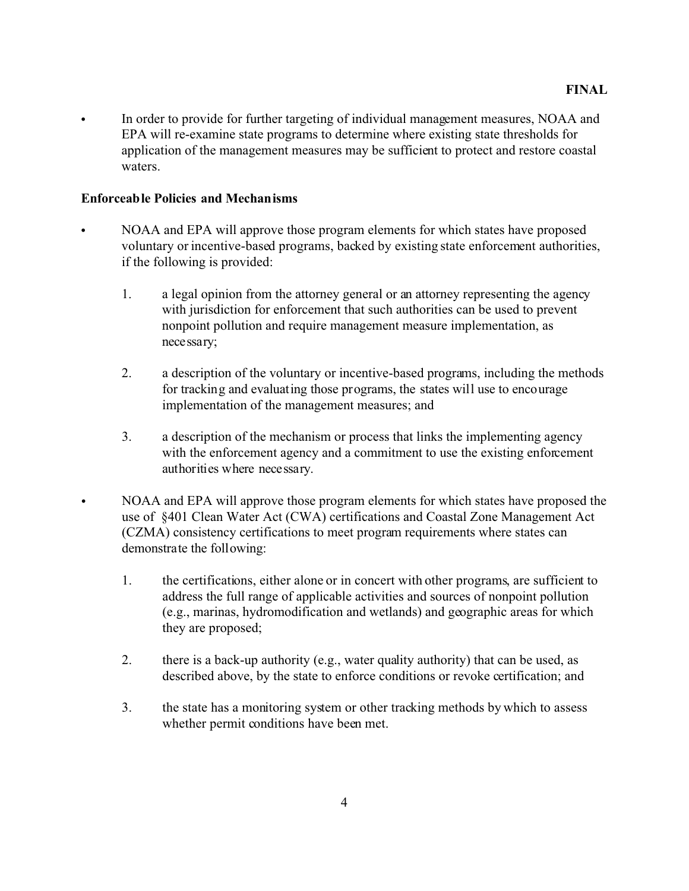• In order to provide for further targeting of individual management measures, NOAA and EPA will re-examine state programs to determine where existing state thresholds for application of the management measures may be sufficient to protect and restore coastal waters.

### **Enforceable Policies and Mechanisms**

- NOAA and EPA will approve those program elements for which states have proposed voluntary or incentive-based programs, backed by existing state enforcement authorities, if the following is provided:
	- 1. a legal opinion from the attorney general or an attorney representing the agency with jurisdiction for enforcement that such authorities can be used to prevent nonpoint pollution and require management measure implementation, as necessary;
	- 2. a description of the voluntary or incentive-based programs, including the methods for tracking and evaluating those programs, the states will use to encourage implementation of the management measures; and
	- 3. a description of the mechanism or process that links the implementing agency with the enforcement agency and a commitment to use the existing enforcement authorities where necessary.
	- NOAA and EPA will approve those program elements for which states have proposed the use of §401 Clean Water Act (CWA) certifications and Coastal Zone Management Act (CZMA) consistency certifications to meet program requirements where states can demonstrate the following:
	- 1. the certifications, either alone or in concert with other programs, are sufficient to address the full range of applicable activities and sources of nonpoint pollution (e.g., marinas, hydromodification and wetlands) and geographic areas for which they are proposed;
	- 2. there is a back-up authority (e.g., water quality authority) that can be used, as described above, by the state to enforce conditions or revoke certification; and
	- 3. the state has a monitoring system or other tracking methods by which to assess whether permit conditions have been met.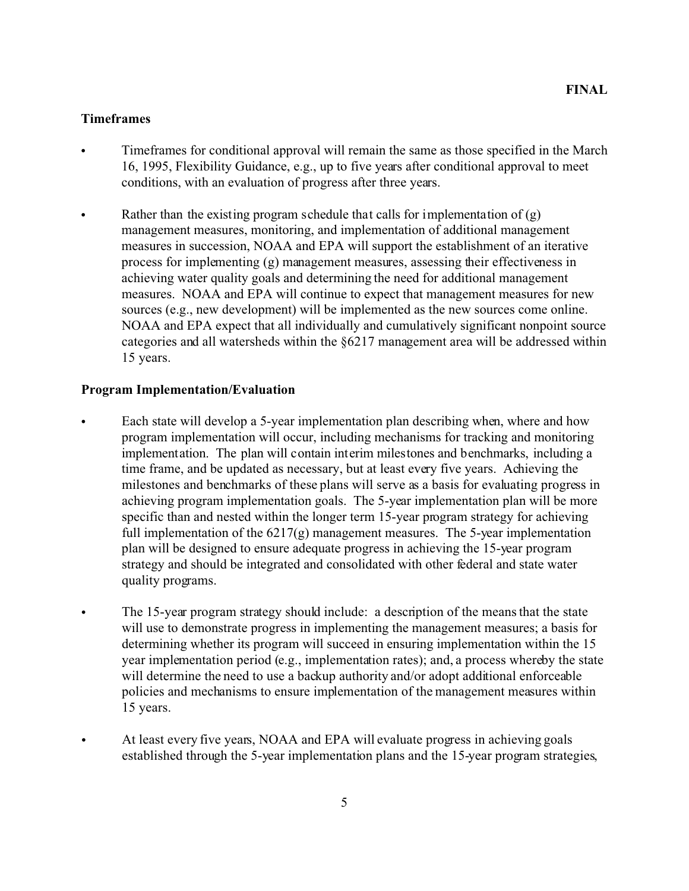#### **Timeframes**

- Timeframes for conditional approval will remain the same as those specified in the March 16, 1995, Flexibility Guidance, e.g., up to five years after conditional approval to meet conditions, with an evaluation of progress after three years.
- $\bullet$  Rather than the existing program schedule that calls for implementation of  $(g)$ management measures, monitoring, and implementation of additional management measures in succession, NOAA and EPA will support the establishment of an iterative process for implementing (g) management measures, assessing their effectiveness in achieving water quality goals and determining the need for additional management measures. NOAA and EPA will continue to expect that management measures for new sources (e.g., new development) will be implemented as the new sources come online. NOAA and EPA expect that all individually and cumulatively significant nonpoint source categories and all watersheds within the §6217 management area will be addressed within 15 years.

#### **Program Implementation/Evaluation**

- Each state will develop a 5-year implementation plan describing when, where and how program implementation will occur, including mechanisms for tracking and monitoring implementation. The plan will contain interim milestones and benchmarks, including a time frame, and be updated as necessary, but at least every five years. Achieving the milestones and benchmarks of these plans will serve as a basis for evaluating progress in achieving program implementation goals. The 5-year implementation plan will be more specific than and nested within the longer term 15-year program strategy for achieving full implementation of the  $6217(g)$  management measures. The 5-year implementation plan will be designed to ensure adequate progress in achieving the 15-year program strategy and should be integrated and consolidated with other federal and state water quality programs.
- The 15-year program strategy should include: a description of the means that the state will use to demonstrate progress in implementing the management measures; a basis for determining whether its program will succeed in ensuring implementation within the 15 year implementation period (e.g., implementation rates); and, a process whereby the state will determine the need to use a backup authority and/or adopt additional enforceable policies and mechanisms to ensure implementation of the management measures within 15 years.
- At least every five years, NOAA and EPA will evaluate progress in achieving goals established through the 5-year implementation plans and the 15-year program strategies,